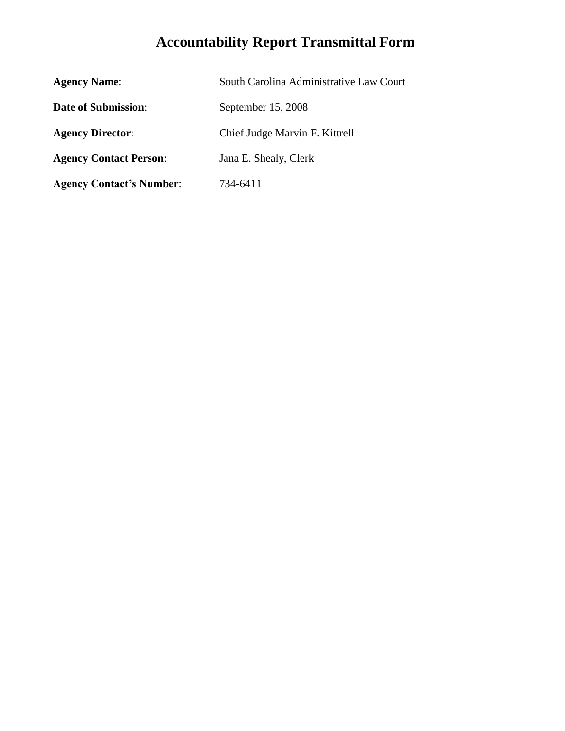# **Accountability Report Transmittal Form**

| <b>Agency Name:</b>             | South Carolina Administrative Law Court |
|---------------------------------|-----------------------------------------|
| <b>Date of Submission:</b>      | September 15, 2008                      |
| <b>Agency Director:</b>         | Chief Judge Marvin F. Kittrell          |
| <b>Agency Contact Person:</b>   | Jana E. Shealy, Clerk                   |
| <b>Agency Contact's Number:</b> | 734-6411                                |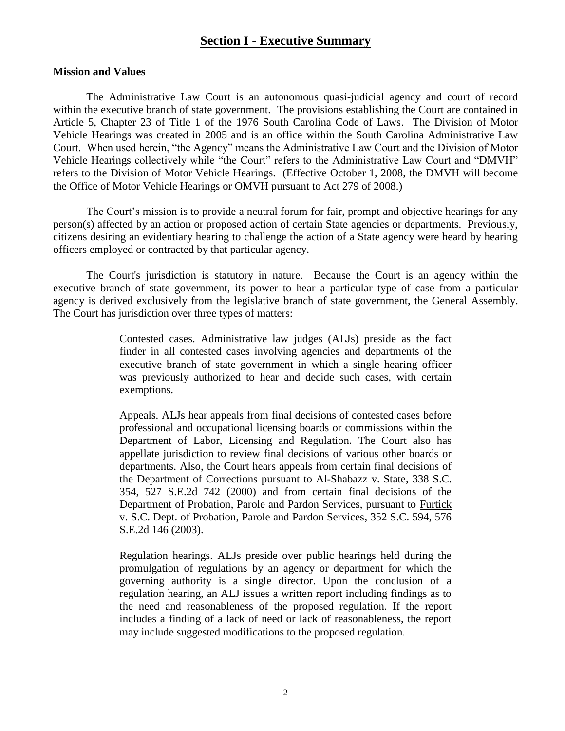# **Section I - Executive Summary**

### **Mission and Values**

The Administrative Law Court is an autonomous quasi-judicial agency and court of record within the executive branch of state government. The provisions establishing the Court are contained in Article 5, Chapter 23 of Title 1 of the 1976 South Carolina Code of Laws. The Division of Motor Vehicle Hearings was created in 2005 and is an office within the South Carolina Administrative Law Court. When used herein, "the Agency" means the Administrative Law Court and the Division of Motor Vehicle Hearings collectively while "the Court" refers to the Administrative Law Court and "DMVH" refers to the Division of Motor Vehicle Hearings. (Effective October 1, 2008, the DMVH will become the Office of Motor Vehicle Hearings or OMVH pursuant to Act 279 of 2008.)

The Court's mission is to provide a neutral forum for fair, prompt and objective hearings for any person(s) affected by an action or proposed action of certain State agencies or departments. Previously, citizens desiring an evidentiary hearing to challenge the action of a State agency were heard by hearing officers employed or contracted by that particular agency.

The Court's jurisdiction is statutory in nature. Because the Court is an agency within the executive branch of state government, its power to hear a particular type of case from a particular agency is derived exclusively from the legislative branch of state government, the General Assembly. The Court has jurisdiction over three types of matters:

> Contested cases. Administrative law judges (ALJs) preside as the fact finder in all contested cases involving agencies and departments of the executive branch of state government in which a single hearing officer was previously authorized to hear and decide such cases, with certain exemptions.

> Appeals. ALJs hear appeals from final decisions of contested cases before professional and occupational licensing boards or commissions within the Department of Labor, Licensing and Regulation. The Court also has appellate jurisdiction to review final decisions of various other boards or departments. Also, the Court hears appeals from certain final decisions of the Department of Corrections pursuant to Al-Shabazz v. State, 338 S.C. 354, 527 S.E.2d 742 (2000) and from certain final decisions of the Department of Probation, Parole and Pardon Services, pursuant to Furtick v. S.C. Dept. of Probation, Parole and Pardon Services, 352 S.C. 594, 576 S.E.2d 146 (2003).

> Regulation hearings. ALJs preside over public hearings held during the promulgation of regulations by an agency or department for which the governing authority is a single director. Upon the conclusion of a regulation hearing, an ALJ issues a written report including findings as to the need and reasonableness of the proposed regulation. If the report includes a finding of a lack of need or lack of reasonableness, the report may include suggested modifications to the proposed regulation.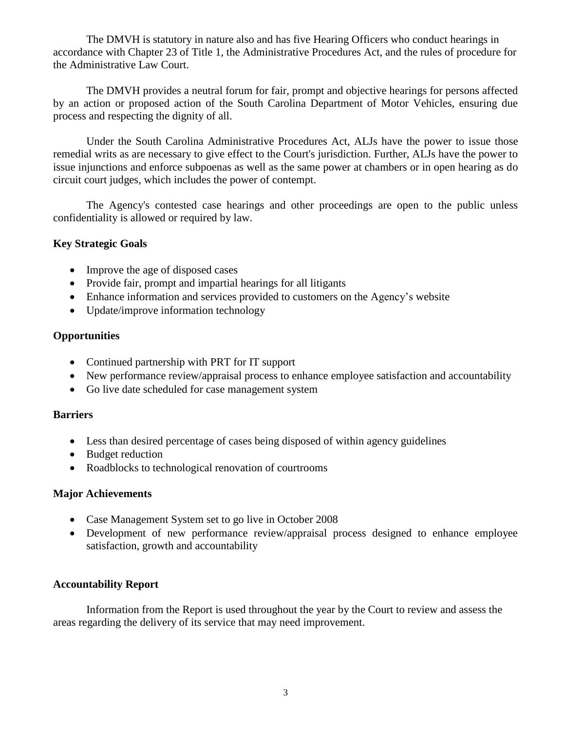The DMVH is statutory in nature also and has five Hearing Officers who conduct hearings in accordance with Chapter 23 of Title 1, the Administrative Procedures Act, and the rules of procedure for the Administrative Law Court.

The DMVH provides a neutral forum for fair, prompt and objective hearings for persons affected by an action or proposed action of the South Carolina Department of Motor Vehicles, ensuring due process and respecting the dignity of all.

Under the South Carolina Administrative Procedures Act, ALJs have the power to issue those remedial writs as are necessary to give effect to the Court's jurisdiction. Further, ALJs have the power to issue injunctions and enforce subpoenas as well as the same power at chambers or in open hearing as do circuit court judges, which includes the power of contempt.

The Agency's contested case hearings and other proceedings are open to the public unless confidentiality is allowed or required by law.

# **Key Strategic Goals**

- Improve the age of disposed cases
- Provide fair, prompt and impartial hearings for all litigants
- Enhance information and services provided to customers on the Agency's website
- Update/improve information technology

# **Opportunities**

- Continued partnership with PRT for IT support
- New performance review/appraisal process to enhance employee satisfaction and accountability
- Go live date scheduled for case management system

# **Barriers**

- Less than desired percentage of cases being disposed of within agency guidelines
- Budget reduction
- Roadblocks to technological renovation of courtrooms

# **Major Achievements**

- Case Management System set to go live in October 2008
- Development of new performance review/appraisal process designed to enhance employee satisfaction, growth and accountability

# **Accountability Report**

Information from the Report is used throughout the year by the Court to review and assess the areas regarding the delivery of its service that may need improvement.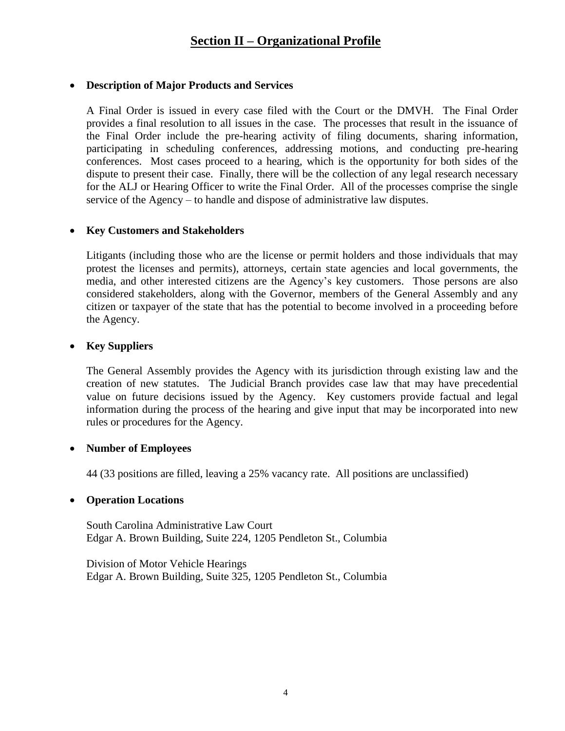# **Description of Major Products and Services**

A Final Order is issued in every case filed with the Court or the DMVH. The Final Order provides a final resolution to all issues in the case. The processes that result in the issuance of the Final Order include the pre-hearing activity of filing documents, sharing information, participating in scheduling conferences, addressing motions, and conducting pre-hearing conferences. Most cases proceed to a hearing, which is the opportunity for both sides of the dispute to present their case. Finally, there will be the collection of any legal research necessary for the ALJ or Hearing Officer to write the Final Order. All of the processes comprise the single service of the Agency – to handle and dispose of administrative law disputes.

# **Key Customers and Stakeholders**

Litigants (including those who are the license or permit holders and those individuals that may protest the licenses and permits), attorneys, certain state agencies and local governments, the media, and other interested citizens are the Agency's key customers. Those persons are also considered stakeholders, along with the Governor, members of the General Assembly and any citizen or taxpayer of the state that has the potential to become involved in a proceeding before the Agency.

# **Key Suppliers**

The General Assembly provides the Agency with its jurisdiction through existing law and the creation of new statutes. The Judicial Branch provides case law that may have precedential value on future decisions issued by the Agency. Key customers provide factual and legal information during the process of the hearing and give input that may be incorporated into new rules or procedures for the Agency.

# **Number of Employees**

44 (33 positions are filled, leaving a 25% vacancy rate. All positions are unclassified)

# **Operation Locations**

South Carolina Administrative Law Court Edgar A. Brown Building, Suite 224, 1205 Pendleton St., Columbia

Division of Motor Vehicle Hearings Edgar A. Brown Building, Suite 325, 1205 Pendleton St., Columbia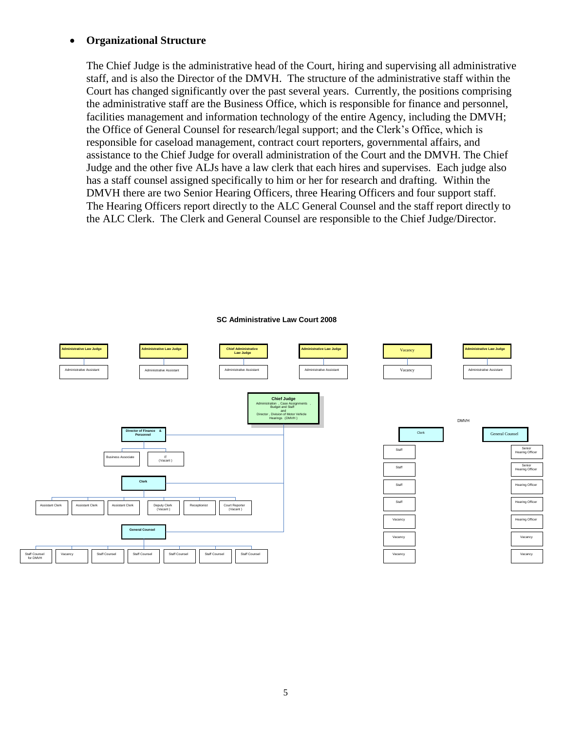### **Organizational Structure**

The Chief Judge is the administrative head of the Court, hiring and supervising all administrative staff, and is also the Director of the DMVH. The structure of the administrative staff within the Court has changed significantly over the past several years. Currently, the positions comprising the administrative staff are the Business Office, which is responsible for finance and personnel, facilities management and information technology of the entire Agency, including the DMVH; the Office of General Counsel for research/legal support; and the Clerk's Office, which is responsible for caseload management, contract court reporters, governmental affairs, and assistance to the Chief Judge for overall administration of the Court and the DMVH. The Chief Judge and the other five ALJs have a law clerk that each hires and supervises. Each judge also has a staff counsel assigned specifically to him or her for research and drafting. Within the DMVH there are two Senior Hearing Officers, three Hearing Officers and four support staff. The Hearing Officers report directly to the ALC General Counsel and the staff report directly to the ALC Clerk. The Clerk and General Counsel are responsible to the Chief Judge/Director.

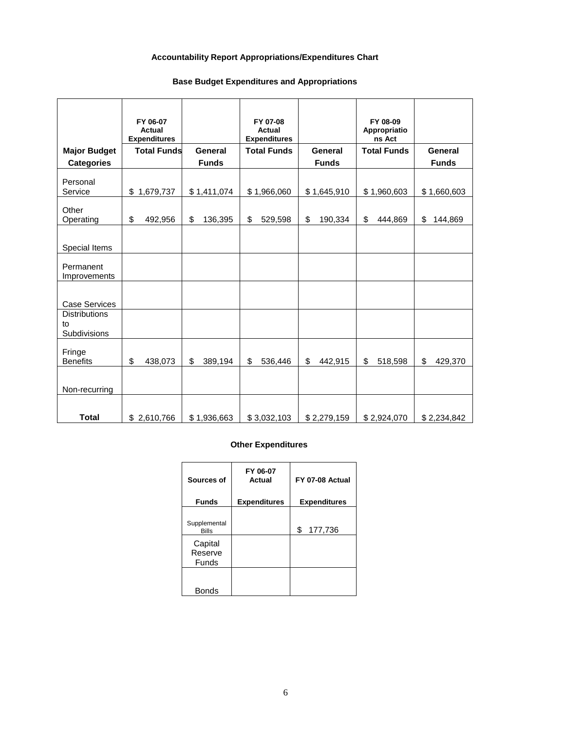### **Accountability Report Appropriations/Expenditures Chart**

### **Base Budget Expenditures and Appropriations**

|                                            | FY 06-07<br>Actual<br><b>Expenditures</b> |               | FY 07-08<br>Actual<br><b>Expenditures</b> |               | FY 08-09<br>Appropriatio<br>ns Act |               |
|--------------------------------------------|-------------------------------------------|---------------|-------------------------------------------|---------------|------------------------------------|---------------|
| <b>Major Budget</b>                        | <b>Total Funds</b>                        | General       | <b>Total Funds</b>                        | General       | <b>Total Funds</b>                 | General       |
| <b>Categories</b>                          |                                           | <b>Funds</b>  |                                           | <b>Funds</b>  |                                    | <b>Funds</b>  |
| Personal<br>Service                        | \$1,679,737                               | \$1,411,074   | \$1,966,060                               | \$1,645,910   | \$1,960,603                        | \$1,660,603   |
| Other<br>Operating                         | \$<br>492,956                             | \$<br>136,395 | \$<br>529,598                             | \$<br>190,334 | \$<br>444,869                      | \$<br>144,869 |
| Special Items                              |                                           |               |                                           |               |                                    |               |
| Permanent<br>Improvements                  |                                           |               |                                           |               |                                    |               |
| Case Services                              |                                           |               |                                           |               |                                    |               |
| <b>Distributions</b><br>to<br>Subdivisions |                                           |               |                                           |               |                                    |               |
| Fringe<br><b>Benefits</b>                  | \$<br>438,073                             | \$<br>389,194 | \$<br>536,446                             | \$<br>442,915 | \$<br>518,598                      | \$<br>429,370 |
| Non-recurring                              |                                           |               |                                           |               |                                    |               |
| <b>Total</b>                               | \$2,610,766                               | \$1,936,663   | \$3,032,103                               | \$2,279,159   | \$2,924,070                        | \$2,234,842   |

### **Other Expenditures**

| Sources of                   | FY 06-07<br>Actual  | FY 07-08 Actual     |
|------------------------------|---------------------|---------------------|
| <b>Funds</b>                 | <b>Expenditures</b> | <b>Expenditures</b> |
| Supplemental<br><b>Bills</b> |                     | \$<br>177,736       |
| Capital<br>Reserve<br>Funds  |                     |                     |
| <b>Bonds</b>                 |                     |                     |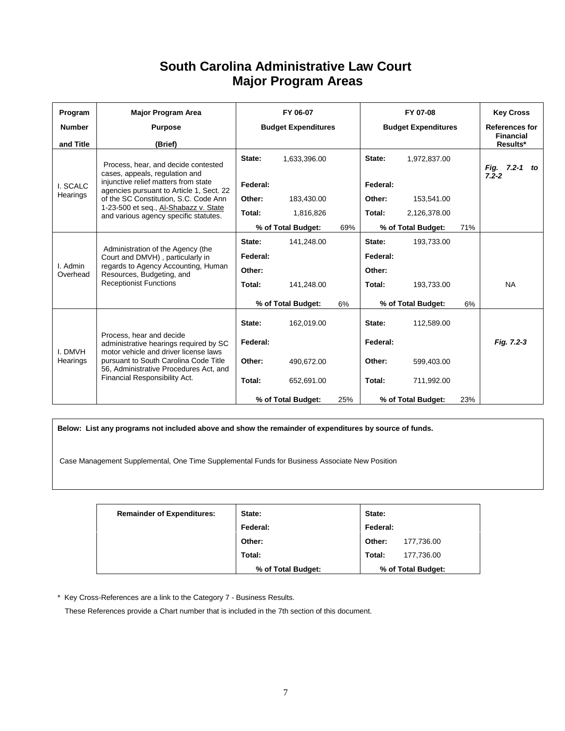# **South Carolina Administrative Law Court Major Program Areas**

| Program              | <b>Major Program Area</b>                                                                                                                                                                                                       | FY 06-07                   |                    | FY 07-08                   |          | <b>Key Cross</b>      |     |                              |
|----------------------|---------------------------------------------------------------------------------------------------------------------------------------------------------------------------------------------------------------------------------|----------------------------|--------------------|----------------------------|----------|-----------------------|-----|------------------------------|
| <b>Number</b>        | <b>Purpose</b>                                                                                                                                                                                                                  | <b>Budget Expenditures</b> |                    | <b>Budget Expenditures</b> |          | <b>References for</b> |     |                              |
| and Title            | (Brief)                                                                                                                                                                                                                         |                            |                    |                            |          |                       |     | <b>Financial</b><br>Results* |
|                      | Process, hear, and decide contested<br>cases, appeals, regulation and                                                                                                                                                           | State:                     | 1,633,396.00       |                            | State:   | 1,972,837.00          |     | Fig. 7.2-1 to<br>$7.2 - 2$   |
| I. SCALC             | injunctive relief matters from state<br>agencies pursuant to Article 1, Sect. 22                                                                                                                                                | Federal:                   |                    |                            | Federal: |                       |     |                              |
| Hearings             | of the SC Constitution, S.C. Code Ann                                                                                                                                                                                           | Other:                     | 183,430.00         |                            | Other:   | 153,541.00            |     |                              |
|                      | 1-23-500 et seq., Al-Shabazz v. State<br>and various agency specific statutes.                                                                                                                                                  | Total:                     | 1,816,826          |                            | Total:   | 2,126,378.00          |     |                              |
|                      |                                                                                                                                                                                                                                 |                            | % of Total Budget: | 69%                        |          | % of Total Budget:    | 71% |                              |
|                      | Administration of the Agency (the<br>Court and DMVH), particularly in<br>regards to Agency Accounting, Human<br>Resources, Budgeting, and<br><b>Receptionist Functions</b>                                                      | State:                     | 141,248.00         |                            | State:   | 193,733.00            |     |                              |
|                      |                                                                                                                                                                                                                                 | Federal:                   |                    |                            | Federal: |                       |     |                              |
| I. Admin<br>Overhead |                                                                                                                                                                                                                                 | Other:                     |                    |                            | Other:   |                       |     |                              |
|                      |                                                                                                                                                                                                                                 | Total:                     | 141.248.00         |                            | Total:   | 193,733.00            |     | <b>NA</b>                    |
|                      |                                                                                                                                                                                                                                 |                            | % of Total Budget: | 6%                         |          | % of Total Budget:    | 6%  |                              |
|                      |                                                                                                                                                                                                                                 | State:                     | 162,019.00         |                            | State:   | 112,589.00            |     |                              |
| I. DMVH<br>Hearings  | Process, hear and decide<br>administrative hearings required by SC<br>motor vehicle and driver license laws<br>pursuant to South Carolina Code Title<br>56, Administrative Procedures Act, and<br>Financial Responsibility Act. | Federal:                   |                    |                            | Federal: |                       |     | Fig. 7.2-3                   |
|                      |                                                                                                                                                                                                                                 | Other:                     | 490,672.00         |                            | Other:   | 599,403.00            |     |                              |
|                      |                                                                                                                                                                                                                                 | Total:                     | 652,691.00         |                            | Total:   | 711,992.00            |     |                              |
|                      |                                                                                                                                                                                                                                 |                            | % of Total Budget: | 25%                        |          | % of Total Budget:    | 23% |                              |

**Below: List any programs not included above and show the remainder of expenditures by source of funds.**

Case Management Supplemental, One Time Supplemental Funds for Business Associate New Position

| <b>Remainder of Expenditures:</b> | State:             | State:             |            |
|-----------------------------------|--------------------|--------------------|------------|
|                                   | Federal:           | Federal:           |            |
|                                   | Other:             | Other:             | 177,736.00 |
|                                   | Total:             | Total:             | 177,736.00 |
|                                   | % of Total Budget: | % of Total Budget: |            |

\* Key Cross-References are a link to the Category 7 - Business Results.

These References provide a Chart number that is included in the 7th section of this document.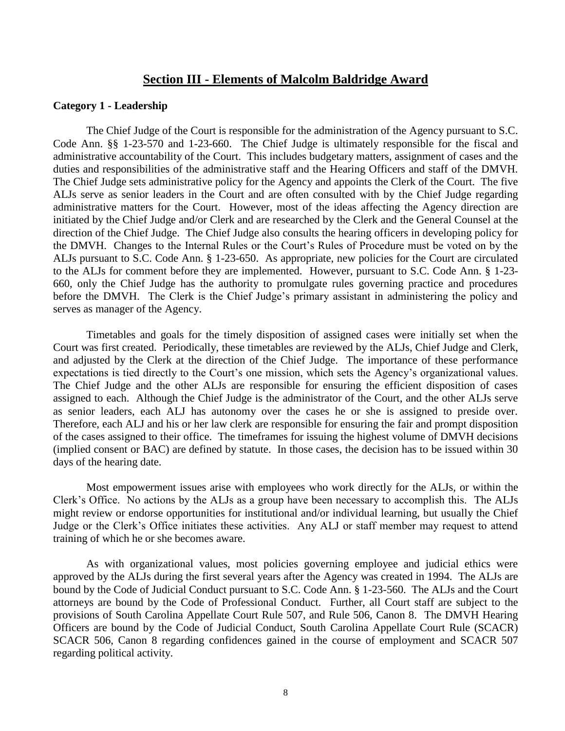### **Section III - Elements of Malcolm Baldridge Award**

### **Category 1 - Leadership**

The Chief Judge of the Court is responsible for the administration of the Agency pursuant to S.C. Code Ann. §§ 1-23-570 and 1-23-660. The Chief Judge is ultimately responsible for the fiscal and administrative accountability of the Court. This includes budgetary matters, assignment of cases and the duties and responsibilities of the administrative staff and the Hearing Officers and staff of the DMVH. The Chief Judge sets administrative policy for the Agency and appoints the Clerk of the Court. The five ALJs serve as senior leaders in the Court and are often consulted with by the Chief Judge regarding administrative matters for the Court. However, most of the ideas affecting the Agency direction are initiated by the Chief Judge and/or Clerk and are researched by the Clerk and the General Counsel at the direction of the Chief Judge. The Chief Judge also consults the hearing officers in developing policy for the DMVH. Changes to the Internal Rules or the Court's Rules of Procedure must be voted on by the ALJs pursuant to S.C. Code Ann. § 1-23-650. As appropriate, new policies for the Court are circulated to the ALJs for comment before they are implemented. However, pursuant to S.C. Code Ann. § 1-23- 660, only the Chief Judge has the authority to promulgate rules governing practice and procedures before the DMVH. The Clerk is the Chief Judge's primary assistant in administering the policy and serves as manager of the Agency.

Timetables and goals for the timely disposition of assigned cases were initially set when the Court was first created. Periodically, these timetables are reviewed by the ALJs, Chief Judge and Clerk, and adjusted by the Clerk at the direction of the Chief Judge. The importance of these performance expectations is tied directly to the Court's one mission, which sets the Agency's organizational values. The Chief Judge and the other ALJs are responsible for ensuring the efficient disposition of cases assigned to each. Although the Chief Judge is the administrator of the Court, and the other ALJs serve as senior leaders, each ALJ has autonomy over the cases he or she is assigned to preside over. Therefore, each ALJ and his or her law clerk are responsible for ensuring the fair and prompt disposition of the cases assigned to their office. The timeframes for issuing the highest volume of DMVH decisions (implied consent or BAC) are defined by statute. In those cases, the decision has to be issued within 30 days of the hearing date.

Most empowerment issues arise with employees who work directly for the ALJs, or within the Clerk's Office. No actions by the ALJs as a group have been necessary to accomplish this. The ALJs might review or endorse opportunities for institutional and/or individual learning, but usually the Chief Judge or the Clerk's Office initiates these activities. Any ALJ or staff member may request to attend training of which he or she becomes aware.

As with organizational values, most policies governing employee and judicial ethics were approved by the ALJs during the first several years after the Agency was created in 1994. The ALJs are bound by the Code of Judicial Conduct pursuant to S.C. Code Ann. § 1-23-560. The ALJs and the Court attorneys are bound by the Code of Professional Conduct. Further, all Court staff are subject to the provisions of South Carolina Appellate Court Rule 507, and Rule 506, Canon 8. The DMVH Hearing Officers are bound by the Code of Judicial Conduct, South Carolina Appellate Court Rule (SCACR) SCACR 506, Canon 8 regarding confidences gained in the course of employment and SCACR 507 regarding political activity.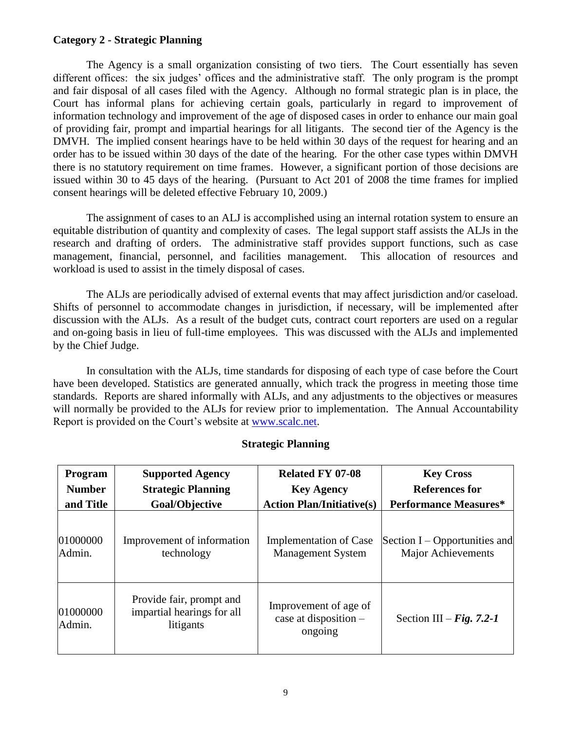### **Category 2 - Strategic Planning**

The Agency is a small organization consisting of two tiers. The Court essentially has seven different offices: the six judges' offices and the administrative staff. The only program is the prompt and fair disposal of all cases filed with the Agency. Although no formal strategic plan is in place, the Court has informal plans for achieving certain goals, particularly in regard to improvement of information technology and improvement of the age of disposed cases in order to enhance our main goal of providing fair, prompt and impartial hearings for all litigants. The second tier of the Agency is the DMVH. The implied consent hearings have to be held within 30 days of the request for hearing and an order has to be issued within 30 days of the date of the hearing. For the other case types within DMVH there is no statutory requirement on time frames. However, a significant portion of those decisions are issued within 30 to 45 days of the hearing. (Pursuant to Act 201 of 2008 the time frames for implied consent hearings will be deleted effective February 10, 2009.)

The assignment of cases to an ALJ is accomplished using an internal rotation system to ensure an equitable distribution of quantity and complexity of cases. The legal support staff assists the ALJs in the research and drafting of orders. The administrative staff provides support functions, such as case management, financial, personnel, and facilities management. This allocation of resources and workload is used to assist in the timely disposal of cases.

The ALJs are periodically advised of external events that may affect jurisdiction and/or caseload. Shifts of personnel to accommodate changes in jurisdiction, if necessary, will be implemented after discussion with the ALJs. As a result of the budget cuts, contract court reporters are used on a regular and on-going basis in lieu of full-time employees. This was discussed with the ALJs and implemented by the Chief Judge.

In consultation with the ALJs, time standards for disposing of each type of case before the Court have been developed. Statistics are generated annually, which track the progress in meeting those time standards. Reports are shared informally with ALJs, and any adjustments to the objectives or measures will normally be provided to the ALJs for review prior to implementation. The Annual Accountability Report is provided on the Court's website at [www.scalc.net.](http://www.scalc.net/)

| Program            | <b>Supported Agency</b>                                             | <b>Related FY 07-08</b>                                   | <b>Key Cross</b>                |
|--------------------|---------------------------------------------------------------------|-----------------------------------------------------------|---------------------------------|
| <b>Number</b>      | <b>Strategic Planning</b>                                           | <b>Key Agency</b>                                         | <b>References for</b>           |
| and Title          | Goal/Objective                                                      | <b>Action Plan/Initiative(s)</b>                          | <b>Performance Measures*</b>    |
| 01000000           | Improvement of information                                          | <b>Implementation of Case</b>                             | Section $I -$ Opportunities and |
| Admin.             | technology                                                          | <b>Management System</b>                                  | <b>Major Achievements</b>       |
| 01000000<br>Admin. | Provide fair, prompt and<br>impartial hearings for all<br>litigants | Improvement of age of<br>case at disposition -<br>ongoing | Section III – Fig. 7.2-1        |

# **Strategic Planning**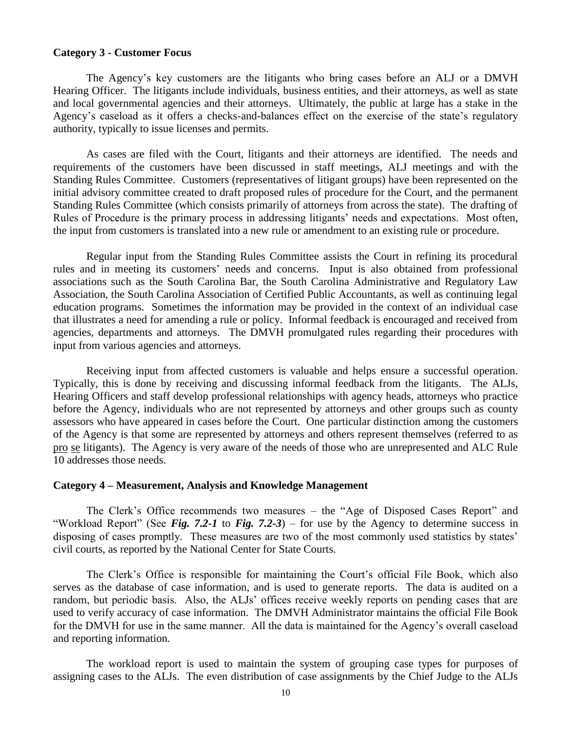### **Category 3 - Customer Focus**

The Agency's key customers are the litigants who bring cases before an ALJ or a DMVH Hearing Officer. The litigants include individuals, business entities, and their attorneys, as well as state and local governmental agencies and their attorneys. Ultimately, the public at large has a stake in the Agency's caseload as it offers a checks-and-balances effect on the exercise of the state's regulatory authority, typically to issue licenses and permits.

As cases are filed with the Court, litigants and their attorneys are identified. The needs and requirements of the customers have been discussed in staff meetings, ALJ meetings and with the Standing Rules Committee. Customers (representatives of litigant groups) have been represented on the initial advisory committee created to draft proposed rules of procedure for the Court, and the permanent Standing Rules Committee (which consists primarily of attorneys from across the state). The drafting of Rules of Procedure is the primary process in addressing litigants' needs and expectations. Most often, the input from customers is translated into a new rule or amendment to an existing rule or procedure.

Regular input from the Standing Rules Committee assists the Court in refining its procedural rules and in meeting its customers' needs and concerns. Input is also obtained from professional associations such as the South Carolina Bar, the South Carolina Administrative and Regulatory Law Association, the South Carolina Association of Certified Public Accountants, as well as continuing legal education programs. Sometimes the information may be provided in the context of an individual case that illustrates a need for amending a rule or policy. Informal feedback is encouraged and received from agencies, departments and attorneys. The DMVH promulgated rules regarding their procedures with input from various agencies and attorneys.

Receiving input from affected customers is valuable and helps ensure a successful operation. Typically, this is done by receiving and discussing informal feedback from the litigants. The ALJs, Hearing Officers and staff develop professional relationships with agency heads, attorneys who practice before the Agency, individuals who are not represented by attorneys and other groups such as county assessors who have appeared in cases before the Court. One particular distinction among the customers of the Agency is that some are represented by attorneys and others represent themselves (referred to as pro se litigants). The Agency is very aware of the needs of those who are unrepresented and ALC Rule 10 addresses those needs.

#### **Category 4 – Measurement, Analysis and Knowledge Management**

The Clerk's Office recommends two measures – the "Age of Disposed Cases Report" and "Workload Report" (See *Fig. 7.2-1* to *Fig. 7.2-3*) – for use by the Agency to determine success in disposing of cases promptly. These measures are two of the most commonly used statistics by states' civil courts, as reported by the National Center for State Courts.

The Clerk's Office is responsible for maintaining the Court's official File Book, which also serves as the database of case information, and is used to generate reports. The data is audited on a random, but periodic basis. Also, the ALJs' offices receive weekly reports on pending cases that are used to verify accuracy of case information. The DMVH Administrator maintains the official File Book for the DMVH for use in the same manner. All the data is maintained for the Agency's overall caseload and reporting information.

The workload report is used to maintain the system of grouping case types for purposes of assigning cases to the ALJs. The even distribution of case assignments by the Chief Judge to the ALJs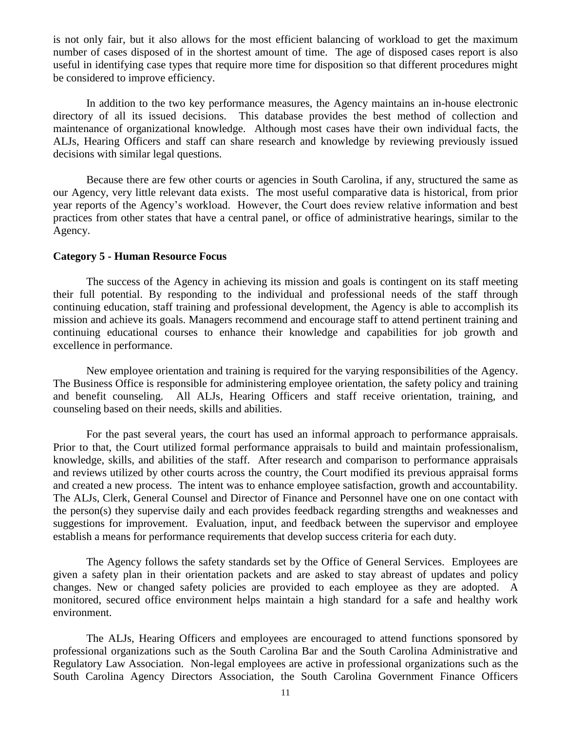is not only fair, but it also allows for the most efficient balancing of workload to get the maximum number of cases disposed of in the shortest amount of time. The age of disposed cases report is also useful in identifying case types that require more time for disposition so that different procedures might be considered to improve efficiency.

In addition to the two key performance measures, the Agency maintains an in-house electronic directory of all its issued decisions. This database provides the best method of collection and maintenance of organizational knowledge. Although most cases have their own individual facts, the ALJs, Hearing Officers and staff can share research and knowledge by reviewing previously issued decisions with similar legal questions.

Because there are few other courts or agencies in South Carolina, if any, structured the same as our Agency, very little relevant data exists. The most useful comparative data is historical, from prior year reports of the Agency's workload. However, the Court does review relative information and best practices from other states that have a central panel, or office of administrative hearings, similar to the Agency.

### **Category 5 - Human Resource Focus**

The success of the Agency in achieving its mission and goals is contingent on its staff meeting their full potential. By responding to the individual and professional needs of the staff through continuing education, staff training and professional development, the Agency is able to accomplish its mission and achieve its goals. Managers recommend and encourage staff to attend pertinent training and continuing educational courses to enhance their knowledge and capabilities for job growth and excellence in performance.

New employee orientation and training is required for the varying responsibilities of the Agency. The Business Office is responsible for administering employee orientation, the safety policy and training and benefit counseling. All ALJs, Hearing Officers and staff receive orientation, training, and counseling based on their needs, skills and abilities.

For the past several years, the court has used an informal approach to performance appraisals. Prior to that, the Court utilized formal performance appraisals to build and maintain professionalism, knowledge, skills, and abilities of the staff. After research and comparison to performance appraisals and reviews utilized by other courts across the country, the Court modified its previous appraisal forms and created a new process. The intent was to enhance employee satisfaction, growth and accountability. The ALJs, Clerk, General Counsel and Director of Finance and Personnel have one on one contact with the person(s) they supervise daily and each provides feedback regarding strengths and weaknesses and suggestions for improvement. Evaluation, input, and feedback between the supervisor and employee establish a means for performance requirements that develop success criteria for each duty.

The Agency follows the safety standards set by the Office of General Services. Employees are given a safety plan in their orientation packets and are asked to stay abreast of updates and policy changes. New or changed safety policies are provided to each employee as they are adopted. A monitored, secured office environment helps maintain a high standard for a safe and healthy work environment.

The ALJs, Hearing Officers and employees are encouraged to attend functions sponsored by professional organizations such as the South Carolina Bar and the South Carolina Administrative and Regulatory Law Association. Non-legal employees are active in professional organizations such as the South Carolina Agency Directors Association, the South Carolina Government Finance Officers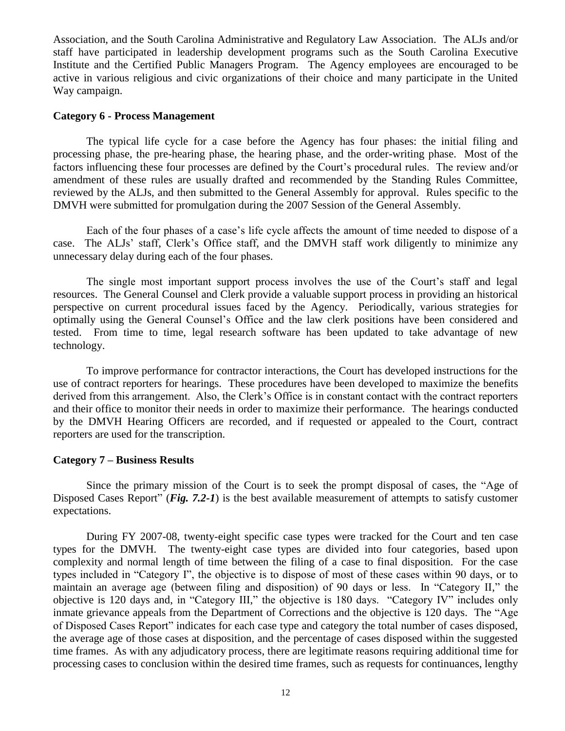Association, and the South Carolina Administrative and Regulatory Law Association. The ALJs and/or staff have participated in leadership development programs such as the South Carolina Executive Institute and the Certified Public Managers Program. The Agency employees are encouraged to be active in various religious and civic organizations of their choice and many participate in the United Way campaign.

### **Category 6 - Process Management**

The typical life cycle for a case before the Agency has four phases: the initial filing and processing phase, the pre-hearing phase, the hearing phase, and the order-writing phase. Most of the factors influencing these four processes are defined by the Court's procedural rules. The review and/or amendment of these rules are usually drafted and recommended by the Standing Rules Committee, reviewed by the ALJs, and then submitted to the General Assembly for approval. Rules specific to the DMVH were submitted for promulgation during the 2007 Session of the General Assembly.

Each of the four phases of a case's life cycle affects the amount of time needed to dispose of a case. The ALJs' staff, Clerk's Office staff, and the DMVH staff work diligently to minimize any unnecessary delay during each of the four phases.

The single most important support process involves the use of the Court's staff and legal resources. The General Counsel and Clerk provide a valuable support process in providing an historical perspective on current procedural issues faced by the Agency. Periodically, various strategies for optimally using the General Counsel's Office and the law clerk positions have been considered and tested. From time to time, legal research software has been updated to take advantage of new technology.

To improve performance for contractor interactions, the Court has developed instructions for the use of contract reporters for hearings. These procedures have been developed to maximize the benefits derived from this arrangement. Also, the Clerk's Office is in constant contact with the contract reporters and their office to monitor their needs in order to maximize their performance. The hearings conducted by the DMVH Hearing Officers are recorded, and if requested or appealed to the Court, contract reporters are used for the transcription.

### **Category 7 – Business Results**

Since the primary mission of the Court is to seek the prompt disposal of cases, the "Age of Disposed Cases Report" (*Fig. 7.2-1*) is the best available measurement of attempts to satisfy customer expectations.

During FY 2007-08, twenty-eight specific case types were tracked for the Court and ten case types for the DMVH. The twenty-eight case types are divided into four categories, based upon complexity and normal length of time between the filing of a case to final disposition. For the case types included in "Category I", the objective is to dispose of most of these cases within 90 days, or to maintain an average age (between filing and disposition) of 90 days or less. In "Category II," the objective is 120 days and, in "Category III," the objective is 180 days. "Category IV" includes only inmate grievance appeals from the Department of Corrections and the objective is 120 days. The "Age of Disposed Cases Report" indicates for each case type and category the total number of cases disposed, the average age of those cases at disposition, and the percentage of cases disposed within the suggested time frames. As with any adjudicatory process, there are legitimate reasons requiring additional time for processing cases to conclusion within the desired time frames, such as requests for continuances, lengthy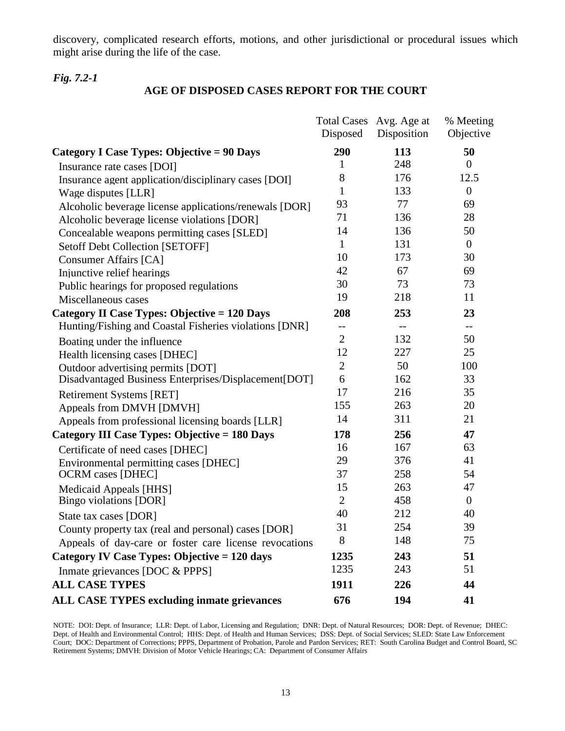discovery, complicated research efforts, motions, and other jurisdictional or procedural issues which might arise during the life of the case.

### *Fig. 7.2-1*

### **AGE OF DISPOSED CASES REPORT FOR THE COURT**

|                                                        | Disposed       | Total Cases Avg. Age at<br>Disposition | % Meeting<br>Objective |
|--------------------------------------------------------|----------------|----------------------------------------|------------------------|
| Category I Case Types: Objective = 90 Days             | 290            | 113                                    | 50                     |
| Insurance rate cases [DOI]                             | 1              | 248                                    | $\theta$               |
| Insurance agent application/disciplinary cases [DOI]   | 8              | 176                                    | 12.5                   |
| Wage disputes [LLR]                                    | 1              | 133                                    | $\boldsymbol{0}$       |
| Alcoholic beverage license applications/renewals [DOR] | 93             | 77                                     | 69                     |
| Alcoholic beverage license violations [DOR]            | 71             | 136                                    | 28                     |
| Concealable weapons permitting cases [SLED]            | 14             | 136                                    | 50                     |
| <b>Setoff Debt Collection [SETOFF]</b>                 | $\mathbf{1}$   | 131                                    | $\overline{0}$         |
| <b>Consumer Affairs [CA]</b>                           | 10             | 173                                    | 30                     |
| Injunctive relief hearings                             | 42             | 67                                     | 69                     |
| Public hearings for proposed regulations               | 30             | 73                                     | 73                     |
| Miscellaneous cases                                    | 19             | 218                                    | 11                     |
| Category II Case Types: Objective = 120 Days           | 208            | 253                                    | 23                     |
| Hunting/Fishing and Coastal Fisheries violations [DNR] | $-$            | $-$                                    | $-$                    |
| Boating under the influence                            | $\overline{2}$ | 132                                    | 50                     |
| Health licensing cases [DHEC]                          | 12             | 227                                    | 25                     |
| Outdoor advertising permits [DOT]                      | $\overline{2}$ | 50                                     | 100                    |
| Disadvantaged Business Enterprises/Displacement[DOT]   | 6              | 162                                    | 33                     |
| <b>Retirement Systems [RET]</b>                        | 17             | 216                                    | 35                     |
| Appeals from DMVH [DMVH]                               | 155            | 263                                    | 20                     |
| Appeals from professional licensing boards [LLR]       | 14             | 311                                    | 21                     |
| Category III Case Types: Objective = 180 Days          | 178            | 256                                    | 47                     |
| Certificate of need cases [DHEC]                       | 16             | 167                                    | 63                     |
| Environmental permitting cases [DHEC]                  | 29             | 376                                    | 41                     |
| <b>OCRM</b> cases [DHEC]                               | 37             | 258                                    | 54                     |
| Medicaid Appeals [HHS]                                 | 15             | 263                                    | 47                     |
| Bingo violations [DOR]                                 | $\overline{2}$ | 458                                    | $\overline{0}$         |
| State tax cases [DOR]                                  | 40             | 212                                    | 40                     |
| County property tax (real and personal) cases [DOR]    | 31             | 254                                    | 39                     |
| Appeals of day-care or foster care license revocations | 8              | 148                                    | 75                     |
| Category IV Case Types: Objective = 120 days           | 1235           | 243                                    | 51                     |
| Inmate grievances [DOC & PPPS]                         | 1235           | 243                                    | 51                     |
| <b>ALL CASE TYPES</b>                                  | 1911           | 226                                    | 44                     |
| <b>ALL CASE TYPES excluding inmate grievances</b>      | 676            | 194                                    | 41                     |

NOTE: DOI: Dept. of Insurance; LLR: Dept. of Labor, Licensing and Regulation; DNR: Dept. of Natural Resources; DOR: Dept. of Revenue; DHEC: Dept. of Health and Environmental Control; HHS: Dept. of Health and Human Services; DSS: Dept. of Social Services; SLED: State Law Enforcement Court; DOC: Department of Corrections; PPPS, Department of Probation, Parole and Pardon Services; RET: South Carolina Budget and Control Board, SC Retirement Systems; DMVH: Division of Motor Vehicle Hearings; CA: Department of Consumer Affairs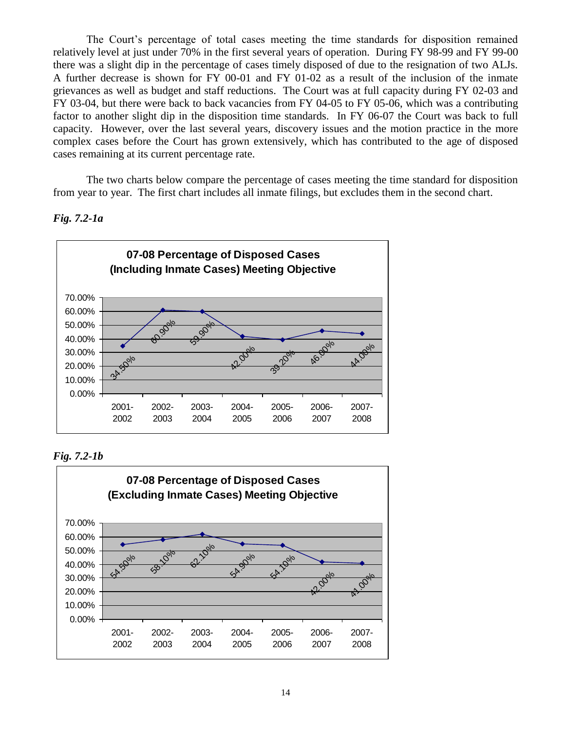The Court's percentage of total cases meeting the time standards for disposition remained relatively level at just under 70% in the first several years of operation. During FY 98-99 and FY 99-00 there was a slight dip in the percentage of cases timely disposed of due to the resignation of two ALJs. A further decrease is shown for FY 00-01 and FY 01-02 as a result of the inclusion of the inmate grievances as well as budget and staff reductions. The Court was at full capacity during FY 02-03 and FY 03-04, but there were back to back vacancies from FY 04-05 to FY 05-06, which was a contributing factor to another slight dip in the disposition time standards. In FY 06-07 the Court was back to full capacity. However, over the last several years, discovery issues and the motion practice in the more complex cases before the Court has grown extensively, which has contributed to the age of disposed cases remaining at its current percentage rate.

The two charts below compare the percentage of cases meeting the time standard for disposition from year to year. The first chart includes all inmate filings, but excludes them in the second chart.



### *Fig. 7.2-1a*

*Fig. 7.2-1b*

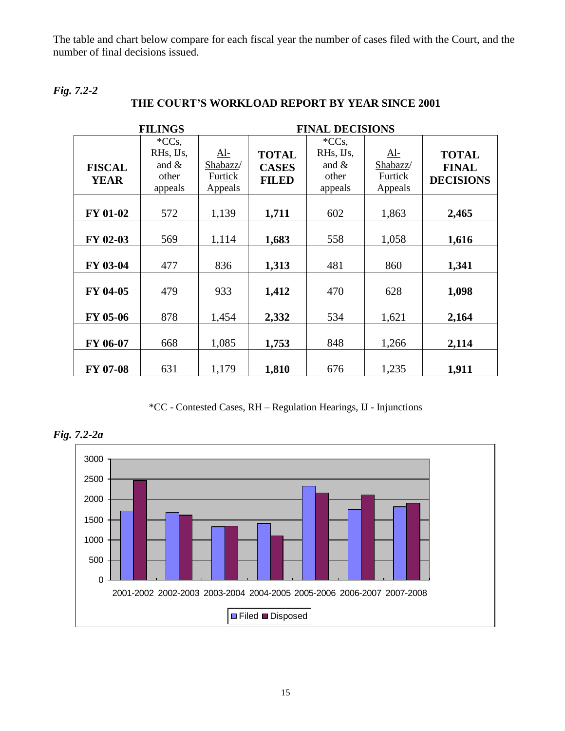The table and chart below compare for each fiscal year the number of cases filed with the Court, and the number of final decisions issued.

*Fig. 7.2-2*

|                              | <b>FILINGS</b>                                           |                                              |                                              | <b>FINAL DECISIONS</b>                                   |                                              |                                                  |
|------------------------------|----------------------------------------------------------|----------------------------------------------|----------------------------------------------|----------------------------------------------------------|----------------------------------------------|--------------------------------------------------|
| <b>FISCAL</b><br><b>YEAR</b> | ${}^*CCs$ ,<br>RHs, IJs,<br>and $\&$<br>other<br>appeals | <u>Al-</u><br>Shabazz/<br>Furtick<br>Appeals | <b>TOTAL</b><br><b>CASES</b><br><b>FILED</b> | ${}^*CCs$ ,<br>RHs, IJs,<br>and $\&$<br>other<br>appeals | <u>Al-</u><br>Shabazz/<br>Furtick<br>Appeals | <b>TOTAL</b><br><b>FINAL</b><br><b>DECISIONS</b> |
| <b>FY 01-02</b>              | 572                                                      | 1,139                                        | 1,711                                        | 602                                                      | 1,863                                        | 2,465                                            |
| FY 02-03                     | 569                                                      | 1,114                                        | 1,683                                        | 558                                                      | 1,058                                        | 1,616                                            |
| FY 03-04                     | 477                                                      | 836                                          | 1,313                                        | 481                                                      | 860                                          | 1,341                                            |
| FY 04-05                     | 479                                                      | 933                                          | 1,412                                        | 470                                                      | 628                                          | 1,098                                            |
| FY 05-06                     | 878                                                      | 1,454                                        | 2,332                                        | 534                                                      | 1,621                                        | 2,164                                            |
| FY 06-07                     | 668                                                      | 1,085                                        | 1,753                                        | 848                                                      | 1,266                                        | 2,114                                            |
| FY 07-08                     | 631                                                      | 1,179                                        | 1,810                                        | 676                                                      | 1,235                                        | 1,911                                            |

\*CC - Contested Cases, RH – Regulation Hearings, IJ - Injunctions



*Fig. 7.2-2a*